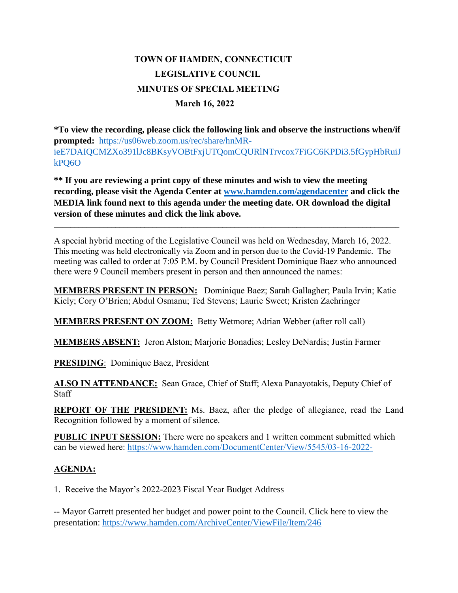## **TOWN OF HAMDEN, CONNECTICUT LEGISLATIVE COUNCIL MINUTES OF SPECIAL MEETING March 16, 2022**

**\*To view the recording, please click the following link and observe the instructions when/if prompted:** [https://us06web.zoom.us/rec/share/hnMR](https://us06web.zoom.us/rec/share/hnMR-ieE7DAIQCMZXo391lJc8BKsyVOBtFxjUTQomCQURlNTrvcox7FiGC6KPDi3.5fGypHbRuiJkPQ6O)[ieE7DAIQCMZXo391lJc8BKsyVOBtFxjUTQomCQURlNTrvcox7FiGC6KPDi3.5fGypHbRuiJ](https://us06web.zoom.us/rec/share/hnMR-ieE7DAIQCMZXo391lJc8BKsyVOBtFxjUTQomCQURlNTrvcox7FiGC6KPDi3.5fGypHbRuiJkPQ6O) [kPQ6O](https://us06web.zoom.us/rec/share/hnMR-ieE7DAIQCMZXo391lJc8BKsyVOBtFxjUTQomCQURlNTrvcox7FiGC6KPDi3.5fGypHbRuiJkPQ6O)

**\*\* If you are reviewing a print copy of these minutes and wish to view the meeting recording, please visit the Agenda Center at [www.hamden.com/agendacenter](http://www.hamden.com/agendacenter) and click the MEDIA link found next to this agenda under the meeting date. OR download the digital version of these minutes and click the link above.**

**\_\_\_\_\_\_\_\_\_\_\_\_\_\_\_\_\_\_\_\_\_\_\_\_\_\_\_\_\_\_\_\_\_\_\_\_\_\_\_\_\_\_\_\_\_\_\_\_\_\_\_\_\_\_\_\_\_\_\_\_\_\_\_\_\_\_\_\_\_\_\_\_\_\_\_\_\_\_\_\_\_\_\_\_**

A special hybrid meeting of the Legislative Council was held on Wednesday, March 16, 2022. This meeting was held electronically via Zoom and in person due to the Covid-19 Pandemic. The meeting was called to order at 7:05 P.M. by Council President Dominique Baez who announced there were 9 Council members present in person and then announced the names:

**MEMBERS PRESENT IN PERSON:** Dominique Baez; Sarah Gallagher; Paula Irvin; Katie Kiely; Cory O'Brien; Abdul Osmanu; Ted Stevens; Laurie Sweet; Kristen Zaehringer

**MEMBERS PRESENT ON ZOOM:** Betty Wetmore; Adrian Webber (after roll call)

**MEMBERS ABSENT:** Jeron Alston; Marjorie Bonadies; Lesley DeNardis; Justin Farmer

**PRESIDING**: Dominique Baez, President

**ALSO IN ATTENDANCE:** Sean Grace, Chief of Staff; Alexa Panayotakis, Deputy Chief of **Staff** 

**REPORT OF THE PRESIDENT:** Ms. Baez, after the pledge of allegiance, read the Land Recognition followed by a moment of silence.

**PUBLIC INPUT SESSION:** There were no speakers and 1 written comment submitted which can be viewed here: <https://www.hamden.com/DocumentCenter/View/5545/03-16-2022->

## **AGENDA:**

1. Receive the Mayor's 2022-2023 Fiscal Year Budget Address

-- Mayor Garrett presented her budget and power point to the Council. Click here to view the presentation:<https://www.hamden.com/ArchiveCenter/ViewFile/Item/246>